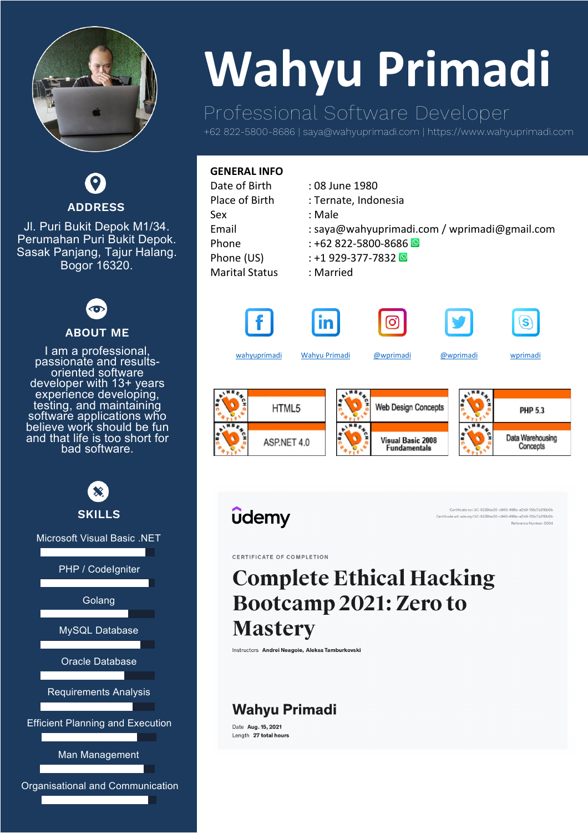

**ADDRESS**

Jl. Puri Bukit Depok M1/34. Perumahan Puri Bukit Depok. Sasak Panjang, Tajur Halang. Bogor 16320.



### **ABOUT ME**

I am a professional, passionate and results- oriented software developer with 13+ years experience developing, testing, and maintaining software applications who believe work should be fun and that life is too short for bad software.



# **Wahyu Primadi**

# Professional Software Developer

+62 822-5800-8686 | saya@wahyuprimadi.com | https://www.wahyuprimadi.com

| : 08 June 1980                               |
|----------------------------------------------|
| : Ternate, Indonesia                         |
| : Male                                       |
| : saya@wahyuprimadi.com / wprimadi@gmail.com |
| $: +62822 - 5800 - 8686$                     |
| $: +1929 - 377 - 7832$                       |
| : Married                                    |
|                                              |
|                                              |





[wahyuprimadi](https://www.facebook.com/wahyuprimadi) [Wahyu Primadi](https://www.linkedin.com/in/wahyu-primadi-1a240058) [@wprimadi](https://www.instagram.com/wprimadi) [@wprimadi](https://twitter.com/wprimadi) [wprimadi](skype:wprimadi?chat)







**Web Design Concepts** HTML5 **PHP 5.3** Data Warehousing Visual Basic 2008 ASP.NET 4.0 **Fundamentals** Concepts



Certificate no: UC-9239be30-c948-496e-a2b9-135c7a310b0E Certificate url: ude.my/UC-9239be30-c948-496e-a2b9-135c7a310b0b Reference Number: 0004

CERTIFICATE OF COMPLETION

# **Complete Ethical Hacking** Bootcamp 2021: Zero to **Mastery**

Instructors Andrei Neagoie, Aleksa Tamburkovski

## **Wahyu Primadi**

Date Aug. 15, 2021 Length 27 total hours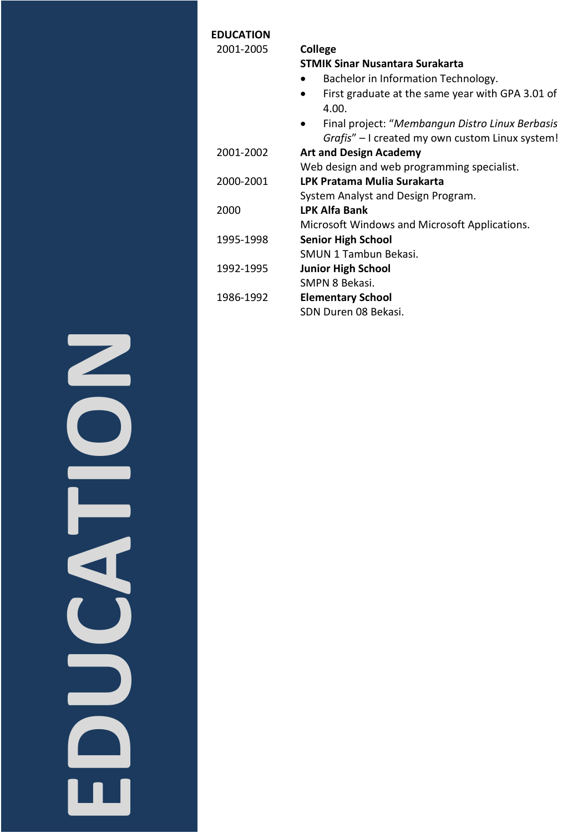| College                                                   |
|-----------------------------------------------------------|
| <b>STMIK Sinar Nusantara Surakarta</b>                    |
| Bachelor in Information Technology.                       |
| First graduate at the same year with GPA 3.01 of<br>4.00. |
| Final project: "Membangun Distro Linux Berbasis           |
| Grafis" - I created my own custom Linux system!           |
| <b>Art and Design Academy</b>                             |
| Web design and web programming specialist.                |
| LPK Pratama Mulia Surakarta                               |
| System Analyst and Design Program.                        |
| <b>LPK Alfa Bank</b>                                      |
| Microsoft Windows and Microsoft Applications.             |
| <b>Senior High School</b>                                 |
| SMUN 1 Tambun Bekasi.                                     |
| <b>Junior High School</b>                                 |
| SMPN 8 Bekasi.                                            |
| <b>Elementary School</b>                                  |
| SDN Duren 08 Bekasi.                                      |
|                                                           |

**EDUCATION**ENT CO <u>e de la c</u>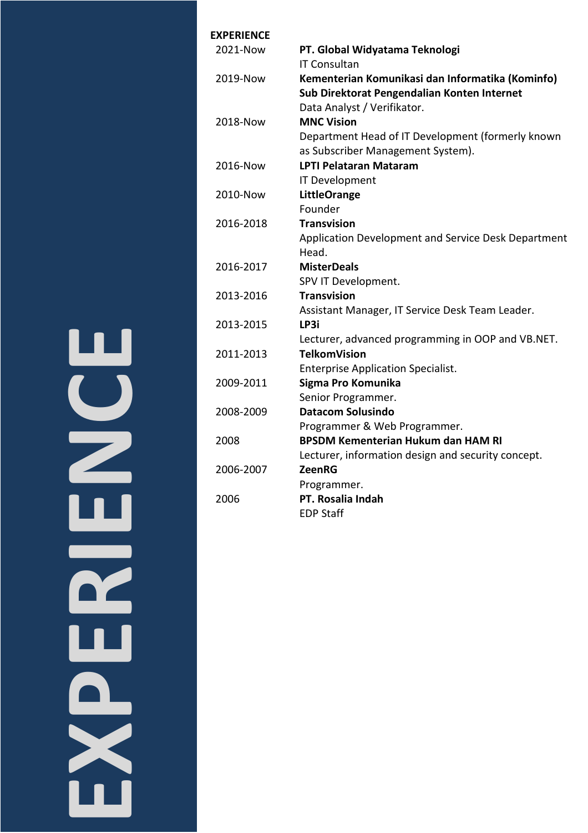| <b>EXPERIENCE</b> |                                                     |
|-------------------|-----------------------------------------------------|
| 2021-Now          | PT. Global Widyatama Teknologi                      |
|                   | <b>IT Consultan</b>                                 |
| 2019-Now          | Kementerian Komunikasi dan Informatika (Kominfo)    |
|                   | Sub Direktorat Pengendalian Konten Internet         |
|                   | Data Analyst / Verifikator.                         |
| 2018-Now          | <b>MNC Vision</b>                                   |
|                   | Department Head of IT Development (formerly known   |
|                   | as Subscriber Management System).                   |
| 2016-Now          | <b>LPTI Pelataran Mataram</b>                       |
|                   | <b>IT Development</b>                               |
| 2010-Now          | <b>LittleOrange</b>                                 |
|                   | Founder                                             |
| 2016-2018         | <b>Transvision</b>                                  |
|                   | Application Development and Service Desk Department |
|                   | Head.                                               |
| 2016-2017         | <b>MisterDeals</b>                                  |
|                   | SPV IT Development.                                 |
| 2013-2016         | <b>Transvision</b>                                  |
|                   | Assistant Manager, IT Service Desk Team Leader.     |
| 2013-2015         | LP3i                                                |
|                   | Lecturer, advanced programming in OOP and VB.NET.   |
| 2011-2013         | <b>TelkomVision</b>                                 |
|                   | <b>Enterprise Application Specialist.</b>           |
| 2009-2011         | Sigma Pro Komunika                                  |
|                   | Senior Programmer.                                  |
| 2008-2009         | <b>Datacom Solusindo</b>                            |
|                   | Programmer & Web Programmer.                        |
| 2008              | <b>BPSDM Kementerian Hukum dan HAM RI</b>           |
|                   | Lecturer, information design and security concept.  |
| 2006-2007         | ZeenRG                                              |
|                   | Programmer.                                         |
| 2006              | PT. Rosalia Indah                                   |
|                   | <b>EDP Staff</b>                                    |

<u>ш</u> **EXPERIENCE**E Ш R  $\blacksquare$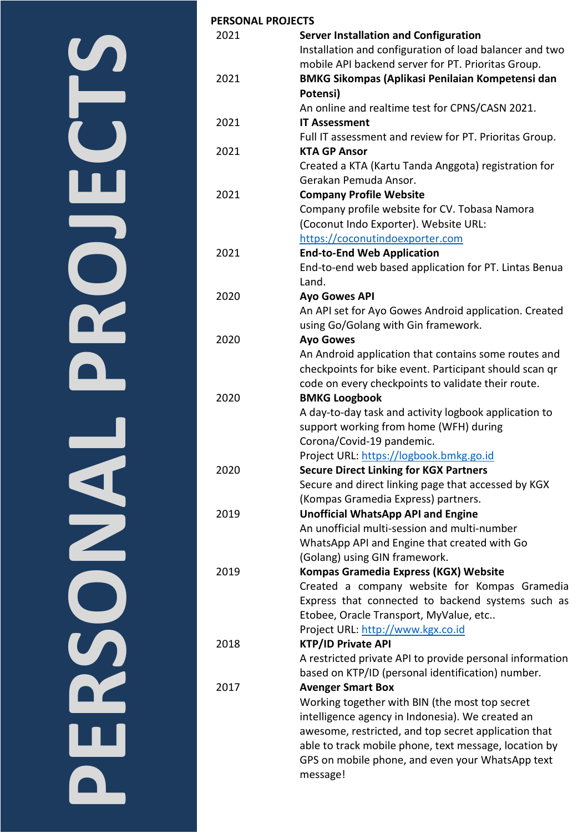# **PERSONAL PROJECTSDROMECTS NERSONE**

| <b>PERSONAL PROJECTS</b> |                                                          |
|--------------------------|----------------------------------------------------------|
| 2021                     | <b>Server Installation and Configuration</b>             |
|                          | Installation and configuration of load balancer and two  |
|                          | mobile API backend server for PT. Prioritas Group.       |
| 2021                     | <b>BMKG Sikompas (Aplikasi Penilaian Kompetensi dan</b>  |
|                          | Potensi)                                                 |
|                          | An online and realtime test for CPNS/CASN 2021.          |
| 2021                     | <b>IT Assessment</b>                                     |
|                          | Full IT assessment and review for PT. Prioritas Group.   |
| 2021                     | <b>KTA GP Ansor</b>                                      |
|                          | Created a KTA (Kartu Tanda Anggota) registration for     |
|                          | Gerakan Pemuda Ansor.                                    |
| 2021                     | <b>Company Profile Website</b>                           |
|                          | Company profile website for CV. Tobasa Namora            |
|                          | (Coconut Indo Exporter). Website URL:                    |
|                          | https://coconutindoexporter.com                          |
| 2021                     | <b>End-to-End Web Application</b>                        |
|                          | End-to-end web based application for PT. Lintas Benua    |
|                          | Land.                                                    |
| 2020                     | <b>Ayo Gowes API</b>                                     |
|                          | An API set for Ayo Gowes Android application. Created    |
|                          | using Go/Golang with Gin framework.                      |
| 2020                     | <b>Ayo Gowes</b>                                         |
|                          | An Android application that contains some routes and     |
|                          |                                                          |
|                          | checkpoints for bike event. Participant should scan qr   |
|                          | code on every checkpoints to validate their route.       |
| 2020                     | <b>BMKG Loogbook</b>                                     |
|                          | A day-to-day task and activity logbook application to    |
|                          | support working from home (WFH) during                   |
|                          | Corona/Covid-19 pandemic.                                |
|                          | Project URL: https://logbook.bmkg.go.id                  |
| 2020                     | <b>Secure Direct Linking for KGX Partners</b>            |
|                          | Secure and direct linking page that accessed by KGX      |
|                          | (Kompas Gramedia Express) partners.                      |
| 2019                     | <b>Unofficial WhatsApp API and Engine</b>                |
|                          | An unofficial multi-session and multi-number             |
|                          | WhatsApp API and Engine that created with Go             |
|                          | (Golang) using GIN framework.                            |
| 2019                     | Kompas Gramedia Express (KGX) Website                    |
|                          | Created a company website for Kompas Gramedia            |
|                          | Express that connected to backend systems such as        |
|                          | Etobee, Oracle Transport, MyValue, etc                   |
|                          | Project URL: http://www.kgx.co.id                        |
| 2018                     | <b>KTP/ID Private API</b>                                |
|                          | A restricted private API to provide personal information |
|                          | based on KTP/ID (personal identification) number.        |
| 2017                     | <b>Avenger Smart Box</b>                                 |
|                          | Working together with BIN (the most top secret           |
|                          | intelligence agency in Indonesia). We created an         |
|                          | awesome, restricted, and top secret application that     |
|                          | able to track mobile phone, text message, location by    |
|                          | GPS on mobile phone, and even your WhatsApp text         |
|                          | message!                                                 |
|                          |                                                          |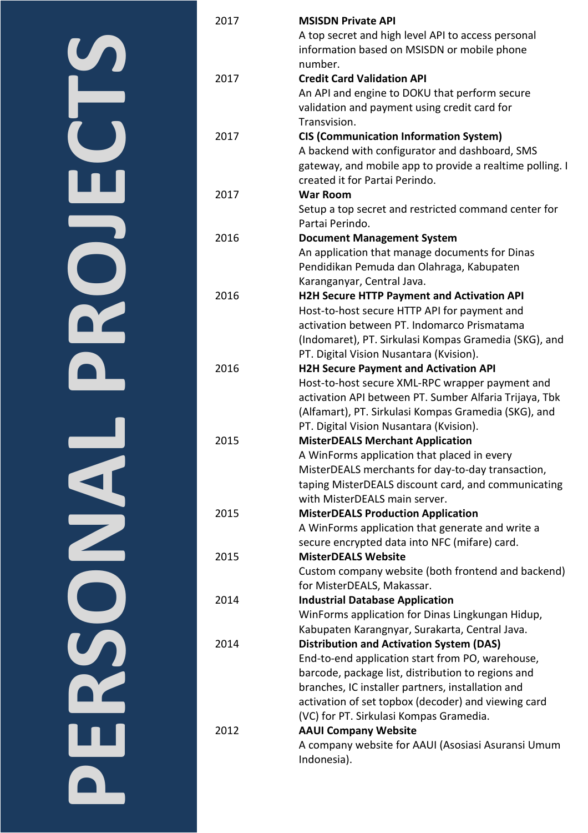| l.  |
|-----|
|     |
| e i |
|     |

| 2017 | <b>MSISDN Private API</b><br>A top secret and high level API to access personal    |
|------|------------------------------------------------------------------------------------|
|      | information based on MSISDN or mobile phone<br>number.                             |
| 2017 | <b>Credit Card Validation API</b>                                                  |
|      | An API and engine to DOKU that perform secure                                      |
|      | validation and payment using credit card for                                       |
|      | Transvision.                                                                       |
| 2017 | <b>CIS (Communication Information System)</b>                                      |
|      | A backend with configurator and dashboard, SMS                                     |
|      | gateway, and mobile app to provide a realtime polling. I                           |
|      | created it for Partai Perindo.                                                     |
| 2017 | <b>War Room</b>                                                                    |
|      | Setup a top secret and restricted command center for                               |
|      | Partai Perindo.                                                                    |
| 2016 | <b>Document Management System</b>                                                  |
|      | An application that manage documents for Dinas                                     |
|      | Pendidikan Pemuda dan Olahraga, Kabupaten                                          |
|      | Karanganyar, Central Java.                                                         |
| 2016 | <b>H2H Secure HTTP Payment and Activation API</b>                                  |
|      | Host-to-host secure HTTP API for payment and                                       |
|      | activation between PT. Indomarco Prismatama                                        |
|      | (Indomaret), PT. Sirkulasi Kompas Gramedia (SKG), and                              |
|      | PT. Digital Vision Nusantara (Kvision).                                            |
| 2016 | <b>H2H Secure Payment and Activation API</b>                                       |
|      | Host-to-host secure XML-RPC wrapper payment and                                    |
|      | activation API between PT. Sumber Alfaria Trijaya, Tbk                             |
|      | (Alfamart), PT. Sirkulasi Kompas Gramedia (SKG), and                               |
| 2015 | PT. Digital Vision Nusantara (Kvision).<br><b>MisterDEALS Merchant Application</b> |
|      | A WinForms application that placed in every                                        |
|      | MisterDEALS merchants for day-to-day transaction,                                  |
|      | taping MisterDEALS discount card, and communicating                                |
|      | with MisterDEALS main server.                                                      |
| 2015 | <b>MisterDEALS Production Application</b>                                          |
|      | A WinForms application that generate and write a                                   |
|      | secure encrypted data into NFC (mifare) card.                                      |
| 2015 | <b>MisterDEALS Website</b>                                                         |
|      | Custom company website (both frontend and backend)                                 |
|      | for MisterDEALS, Makassar.                                                         |
| 2014 | <b>Industrial Database Application</b>                                             |
|      | WinForms application for Dinas Lingkungan Hidup,                                   |
|      | Kabupaten Karangnyar, Surakarta, Central Java.                                     |
| 2014 | <b>Distribution and Activation System (DAS)</b>                                    |
|      | End-to-end application start from PO, warehouse,                                   |
|      | barcode, package list, distribution to regions and                                 |
|      | branches, IC installer partners, installation and                                  |
|      | activation of set topbox (decoder) and viewing card                                |
|      | (VC) for PT. Sirkulasi Kompas Gramedia.                                            |
| 2012 | <b>AAUI Company Website</b>                                                        |
|      | A company website for AAUI (Asosiasi Asuransi Umum                                 |
|      | Indonesia).                                                                        |
|      |                                                                                    |